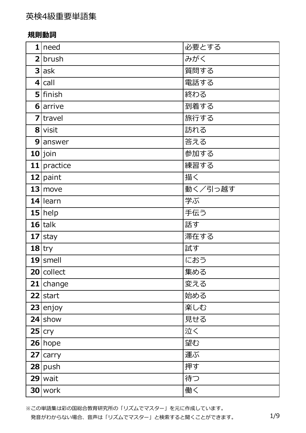#### **規則動詞**

|    | 1 need        | 必要とする   |
|----|---------------|---------|
|    | $2$ brush     | みがく     |
|    | $3$ ask       | 質問する    |
|    | 4 cal         | 電話する    |
|    | $5$ finish    | 終わる     |
|    | 6 arrive      | 到着する    |
|    | $7$  travel   | 旅行する    |
|    | 8 visit       | 訪れる     |
|    | 9 answer      | 答える     |
|    | $10$ join     | 参加する    |
|    | $11$ practice | 練習する    |
|    | 12 paint      | 描く      |
|    | $13$ move     | 動く/引っ越す |
|    | $14$  learn   | 学ぶ      |
|    | $15$ help     | 手伝う     |
|    | $16$ talk     | 話す      |
|    | $17$ stay     | 滞在する    |
|    | $18$ try      | 試す      |
|    | $19$ smell    | におう     |
|    | 20 collect    | 集める     |
| 21 | change        | 変える     |
|    | $22$ start    | 始める     |
|    | $23$ enjoy    | 楽しむ     |
|    | $24$ show     | 見せる     |
|    | $25$ cry      | 泣く      |
|    | $26$ hope     | 望む      |
|    | $27$ carry    | 運ぶ      |
|    | $28$ push     | 押す      |
|    | $29$ wait     | 待つ      |
|    | $30$ work     | 働く      |

※この単語集は彩の国総合教育研究所の「リズムでマスター」を元に作成しています。 発音がわからない場合、音声は「リズムでマスター」と検索すると聞くことができます。 1/9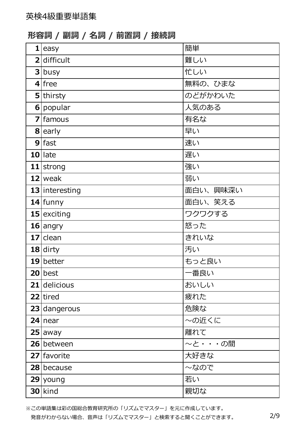**形容詞 / 副詞 / 名詞 / 前置詞 / 接続詞**

|                | $1$ easy         | 簡単       |
|----------------|------------------|----------|
|                | 2 difficult      | 難しい      |
|                | 3 busy           | 忙しい      |
|                | $4$ free         | 無料の、ひまな  |
|                | 5 thirsty        | のどがかわいた  |
|                | 6 popular        | 人気のある    |
| $\overline{z}$ | famous           | 有名な      |
|                | $8$ early        | 早い       |
| 9              | fast             | 速い       |
|                | $10$   late      | 遅い       |
|                | $11$ strong      | 強い       |
|                | $12$ weak        | 弱い       |
|                | $13$ interesting | 面白い、興味深い |
|                | 14 funny         | 面白い、笑える  |
|                | 15 exciting      | ワクワクする   |
|                | $16$ angry       | 怒った      |
|                | $17$ clean       | きれいな     |
|                | $18$ dirty       | 汚い       |
|                | $19$ better      | もっと良い    |
|                | $20$ best        | 一番良い     |
|                | $21$ delicious   | おいしい     |
|                | 22 tired         | 疲れた      |
|                | $23$ dangerous   | 危険な      |
|                | $24$ near        | ~の近くに    |
|                | $25$ away        | 離れて      |
|                | 26 between       | ~と···の間  |
|                | 27 favorite      | 大好きな     |
|                | 28 because       | ~なので     |
|                | 29 young         | 若い       |
|                | $30$ kind        | 親切な      |

※この単語集は彩の国総合教育研究所の「リズムでマスター」を元に作成しています。 発音がわからない場合、音声は「リズムでマスター」と検索すると聞くことができます。 2/9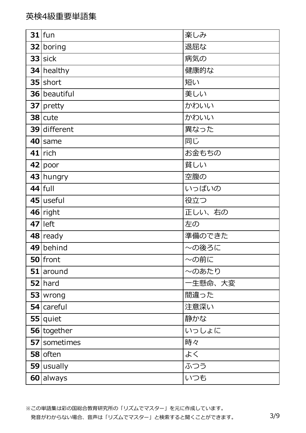| $31$  fun    | 楽しみ        |
|--------------|------------|
| 32 boring    | 退屈な        |
| $33$ sick    | 病気の        |
| $34$ healthy | 健康的な       |
| $35$ short   | 短い         |
| 36 beautiful | 美しい        |
| $37$ pretty  | かわいい       |
| $38$ cute    | かわいい       |
| 39 different | 異なった       |
| 40 same      | 同じ         |
| $41$ rich    | お金もちの      |
| 42 poor      | 貧しい        |
| 43 hungry    | 空腹の        |
| $44$ full    | いっぱいの      |
| $45$ useful  | 役立つ        |
| $46$ right   | 正しい、右の     |
| $47$  left   | 左の         |
| $48$ ready   | 準備のできた     |
| 49 behind    | ~の後ろに      |
| $50$ front   | $\sim$ の前に |
| $51$ around  | 〜のあたり      |
| $52$   hard  | -生懸命、大変    |
| $53 w$ rong  | 間違った       |
| $54$ careful | 注意深い       |
| $55$ quiet   | 静かな        |
| 56 together  | いっしょに      |
| 57 sometimes | 時々         |
| $58$ often   | よく         |
| $59$ usually | ふつう        |
| 60 always    | いつも        |

※この単語集は彩の国総合教育研究所の「リズムでマスター」を元に作成しています。 発音がわからない場合、音声は「リズムでマスター」と検索すると聞くことができます。 3/9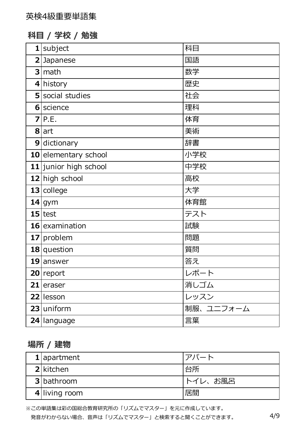### **科⽬ / 学校 / 勉強**

| subject<br>1          | 科目        |
|-----------------------|-----------|
| 2 Japanese            | 国語        |
| $3$ math              | 数学        |
| $4$ history           | 歴史        |
| 5 social studies      | 社会        |
| 6 science             | 理科        |
| P.E.<br>7             | 体育        |
| 8 art                 | 美術        |
| 9<br>dictionary       | 辞書        |
| 10 elementary school  | 小学校       |
| 11 junior high school | 中学校       |
| 12 high school        | 高校        |
| 13 college            | 大学        |
| $14$ gym              | 体育館       |
| $15$ test             | テスト       |
| 16 examination        | 試験        |
| 17<br>problem         | 問題        |
| $18$ question         | 質問        |
| $19$ answer           | 答え        |
| 20 report             | レポート      |
| $21$ eraser           | 消しゴム      |
| 22 lesson             | レッスン      |
| $23$ uniform          | 制服、ユニフォーム |
|                       |           |

### **場所 / 建物**

| $1$   apartment   | アパート    |
|-------------------|---------|
| 2 kitchen         | 台所      |
| <b>3</b> bathroom | トイレ、お風呂 |
| 4 living room     | 居間      |

※この単語集は彩の国総合教育研究所の「リズムでマスター」を元に作成しています。 発音がわからない場合、音声は「リズムでマスター」と検索すると聞くことができます。 4/9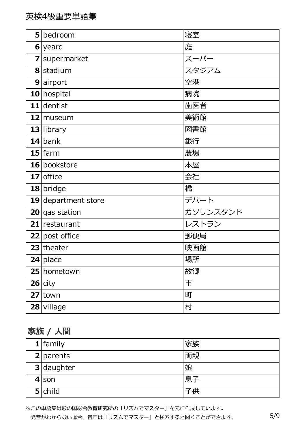|                | 5 bedroom           | 寝室       |
|----------------|---------------------|----------|
|                | $6$ yeard           | 庭        |
| $\overline{z}$ | supermarket         | スーパー     |
|                | 8 stadium           | スタジアム    |
|                | 9 airport           | 空港       |
|                | 10 hospital         | 病院       |
|                | $11$ dentist        | 歯医者      |
|                | 12 museum           | 美術館      |
|                | 13 library          | 図書館      |
|                | $14$ bank           | 銀行       |
|                | $15$ farm           | 農場       |
|                | 16 bookstore        | 本屋       |
|                | 17 office           | 会社       |
|                | 18 bridge           | 橋        |
|                | 19 department store | デパート     |
|                | $20$ gas station    | ガソリンスタンド |
|                | 21 restaurant       | レストラン    |
|                | 22 post office      | 郵便局      |
|                | $23$ theater        | 映画館      |
|                | $24$ place          | 場所       |
|                | 25 hometown         | 故郷       |
|                | $26$ city           | 市        |
| 27             | town                | 町        |
| 28             | village             | 村        |

# **家族 / ⼈間**

| $1$ family   | 家族 |
|--------------|----|
| 2   parents  | 両親 |
| $3$ daughter | 娘  |
| $4$ son      | 息子 |
| $5$ child    | 子供 |

※この単語集は彩の国総合教育研究所の「リズムでマスター」を元に作成しています。 発音がわからない場合、音声は「リズムでマスター」と検索すると聞くことができます。 5/9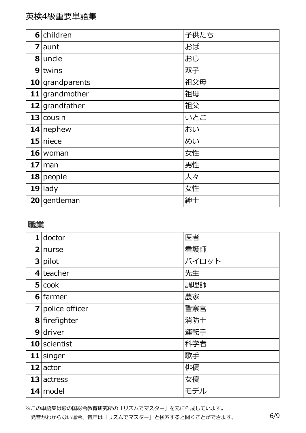|                 | 6 children         | 子供たち |
|-----------------|--------------------|------|
| 7               | aunt               | おば   |
|                 | 8 uncle            | おじ   |
| 9 <sub>l</sub>  | twins              | 双子   |
|                 | $10$ grand parents | 祖父母  |
|                 | $11$ grand mother  | 祖母   |
|                 | $12$ grandfather   | 祖父   |
|                 | $13$ cousin        | いとこ  |
|                 | $14$ nephew        | おい   |
|                 | $15$ niece         | めい   |
|                 | $16$ woman         | 女性   |
| 17 <sup>1</sup> | man                | 男性   |
|                 | $18$ people        | 人々   |
|                 | $19$ lady          | 女性   |
|                 | 20 gentleman       | 紳士   |

### **職業**

|    | $1$ doctor       | 医者    |
|----|------------------|-------|
|    | 2 nurse          | 看護師   |
|    | $3$ pilot        | パイロット |
|    | $4$ teacher      | 先生    |
|    | $5 {\rm cos}k$   | 調理師   |
| 61 | <b>farmer</b>    | 農家    |
|    | 7 police officer | 警察官   |
|    | 8 firefighter    | 消防士   |
| 9  | driver           | 運転手   |
|    | 10 scientist     | 科学者   |
|    | $11$ singer      | 歌手    |
|    | $12$ actor       | 俳優    |
|    | 13 actress       | 女優    |
|    | $14$ model       | モデル   |

※この単語集は彩の国総合教育研究所の「リズムでマスター」を元に作成しています。 発音がわからない場合、音声は「リズムでマスター」と検索すると聞くことができます。 6/9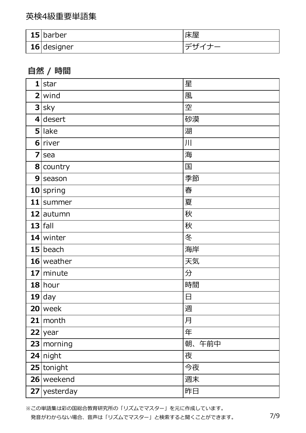| $15$  barber       | 不全 |
|--------------------|----|
| <b>16</b> designer |    |

## **⾃然 / 時間**

| $\mathbf{1}$   | star           | 星         |
|----------------|----------------|-----------|
|                | $2$ wind       | 風         |
|                | $3 $ sky       | 空         |
|                | $4$ desert     | 砂漠        |
|                | $5$ lake       | 湖         |
|                | $6$ river      | 川         |
| 7              | sea            | 海         |
|                | 8 country      | 国         |
| 9 <sub>l</sub> | season         | 季節        |
|                | $10$ spring    | 春         |
|                | 11 summer      | 夏         |
|                | 12 autumn      | 秋         |
|                | $13$ fall      | 秋         |
|                | 14 winter      | 冬         |
|                | $15$ beach     | 海岸        |
|                | $16$ weather   | 天気        |
|                | $17$ minute    | 分         |
|                | $18$ hour      | 時間        |
|                | $19$ day       | 日         |
|                | $20$ week      | 週         |
| 21             | month          | 月         |
|                | $22$ year      | 年         |
|                | $23$ morning   | 朝、<br>午前中 |
|                | $24$ night     | 夜         |
|                | $25$ tonight   | 今夜        |
|                | 26 weekend     | 週末        |
|                | $27$ yesterday | 昨日        |

※この単語集は彩の国総合教育研究所の「リズムでマスター」を元に作成しています。 発音がわからない場合、音声は「リズムでマスター」と検索すると聞くことができます。 7/9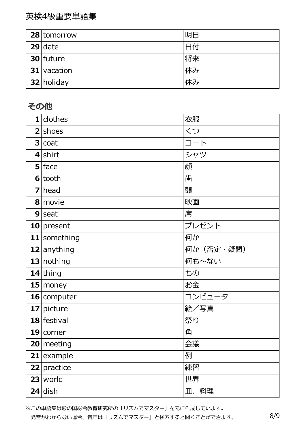英検4級重要単語集

| $28$ tomorrow | 明日 |
|---------------|----|
| $29$ date     | 日付 |
| 30 future     | 将来 |
| $31$ vacation | 休み |
| 32 holiday    | 休み |

### **その他**

| clothes<br>$\mathbf{1}$ | 衣服        |
|-------------------------|-----------|
| $2$ shoes               | くつ        |
| $3 $ coat               | コート       |
| $4$ shirt               | シャツ       |
| $5$ face                | 顔         |
| $6 $ tooth              | 歯         |
| 7<br>  head             | 頭         |
| 8 movie                 | 映画        |
| $9$ seat                | 席         |
| 10 present              | プレゼント     |
| 11 something            | 何か        |
| 12 anything             | 何か(否定・疑問) |
| 13 nothing              | 何も~ない     |
| $14$ thing              | もの        |
| 15   money              | お金        |
| $16$ computer           | コンピュータ    |
| 17 picture              | 絵/写真      |
| $18$ festival           | 祭り        |
| $19$ corner             | 角         |
| 20   meeting            | 会議        |
| 21<br>example           | 例         |
| practice<br>22          | 練習        |
| $23$ world              | 世界        |
| $24$ dish               | 皿、料理      |

※この単語集は彩の国総合教育研究所の「リズムでマスター」を元に作成しています。 発音がわからない場合、音声は「リズムでマスター」と検索すると聞くことができます。 8/9